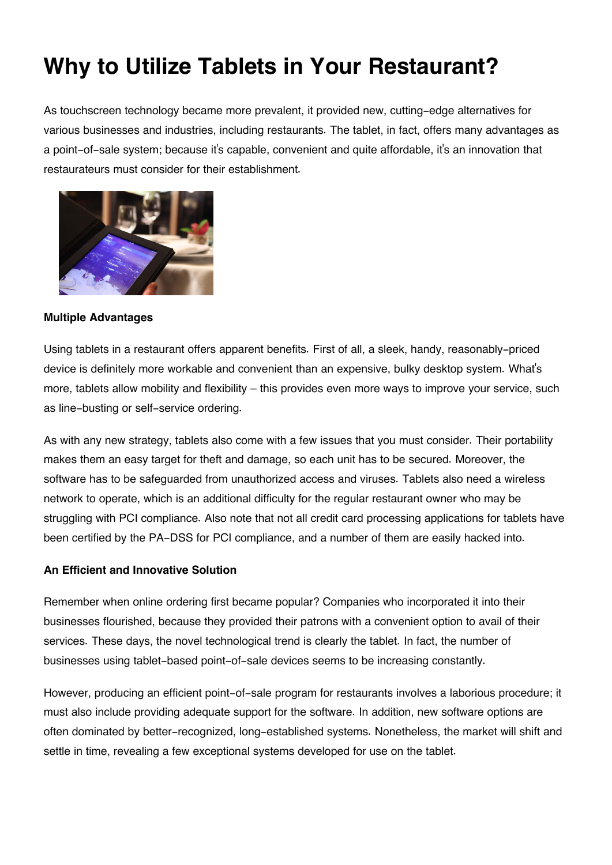# **Why to Utilize Tablets in Your Restaurant?**

As touchscreen technology became more prevalent, it provided new, cutting-edge alternatives for various businesses and industries, including restaurants. The tablet, in fact, offers many advantages as a point-of-sale system; because it's capable, convenient and quite affordable, it's an innovation that restaurateurs must consider for their establishment.



#### **Multiple Advantages**

Using tablets in a restaurant offers apparent benefits. First of all, a sleek, handy, reasonably-priced device is definitely more workable and convenient than an expensive, bulky desktop system. What's more, tablets allow mobility and flexibility – this provides even more ways to improve your service, such as line-busting or self-service ordering.

As with any new strategy, tablets also come with a few issues that you must consider. Their portability makes them an easy target for theft and damage, so each unit has to be secured. Moreover, the software has to be safeguarded from unauthorized access and viruses. Tablets also need a wireless network to operate, which is an additional difficulty for the regular restaurant owner who may be struggling with PCI compliance. Also note that not all credit card processing applications for tablets have been certified by the PA-DSS for PCI compliance, and a number of them are easily hacked into.

### **An Efficient and Innovative Solution**

Remember when online ordering first became popular? Companies who incorporated it into their businesses flourished, because they provided their patrons with a convenient option to avail of their services. These days, the novel technological trend is clearly the tablet. In fact, the number of businesses using tablet-based point-of-sale devices seems to be increasing constantly.

However, producing an efficient point-of-sale program for restaurants involves a laborious procedure; it must also include providing adequate support for the software. In addition, new software options are often dominated by better-recognized, long-established systems. Nonetheless, the market will shift and settle in time, revealing a few exceptional systems developed for use on the tablet.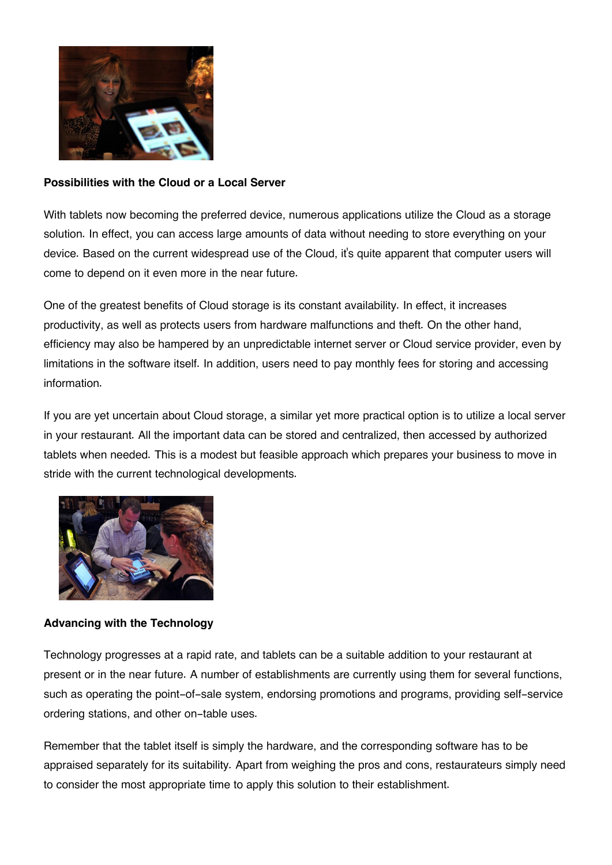

## **Possibilities with the Cloud or a Local Server**

With tablets now becoming the preferred device, numerous applications utilize the Cloud as a storage solution. In effect, you can access large amounts of data without needing to store everything on your device. Based on the current widespread use of the Cloud, it's quite apparent that computer users will come to depend on it even more in the near future.

One of the greatest benefits of Cloud storage is its constant availability. In effect, it increases productivity, as well as protects users from hardware malfunctions and theft. On the other hand, efficiency may also be hampered by an unpredictable internet server or Cloud service provider, even by limitations in the software itself. In addition, users need to pay monthly fees for storing and accessing information.

If you are yet uncertain about Cloud storage, a similar yet more practical option is to utilize a local server in your restaurant. All the important data can be stored and centralized, then accessed by authorized tablets when needed. This is a modest but feasible approach which prepares your business to move in stride with the current technological developments.



## **Advancing with the Technology**

Technology progresses at a rapid rate, and tablets can be a suitable addition to your restaurant at present or in the near future. A number of establishments are currently using them for several functions, such as operating the point-of-sale system, endorsing promotions and programs, providing self-service ordering stations, and other on-table uses.

Remember that the tablet itself is simply the hardware, and the corresponding software has to be appraised separately for its suitability. Apart from weighing the pros and cons, restaurateurs simply need to consider the most appropriate time to apply this solution to their establishment.